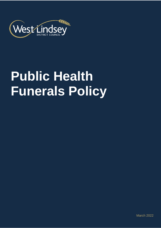

# **Public Health Funerals Policy**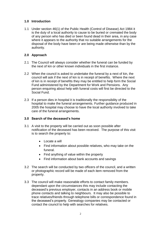## **1.0 Introduction**

1.1 Under section 46(1) of the Public Health (Control of Disease) Act 1984 it is the duty of a local authority to cause to be buried or cremated the body of any person who has died or been found dead in their area, in any case where it appears to the authority that no suitable arrangements for the disposal of the body have been or are being made otherwise than by the authority.

## **2.0 Approach**

- 2.1 The Council will always consider whether the funeral can be funded by the next of kin or other known individuals in the first instance.
- 2.2 When the council is asked to undertake the funeral by a next of kin, the council will ask if the next of kin is in receipt of benefits. Where the next of kin is in receipt of benefits they may be entitled to help form the Social Fund administered by the Department for Work and Pensions. Any person enquiring about help with funeral costs will first be directed to the Social Fund.
- 2.3 If a person dies in hospital it is traditionally the responsibility of the hospital to make the funeral arrangements. Further guidance produced in 2005 the hospital may choose to have the local authority involved to take care of the funeral arrangements.

## **3.0 Search of the deceased's home**

- 3.1 A visit to the property will be carried out as soon possible after notification of the deceased has been received. The purpose of this visit is to search the property to:
	- Locate a will
	- Find information about possible relatives, who may take on the funeral.
	- Find anything of value within the property
	- Find information about bank accounts and savings
- 3.2 The search will be conducted by two officers of the council, and a written or photographic record will be made of each item removed from the property.
- 3.3 The council will make reasonable efforts to contact family members. dependant upon the circumstances this may include contacting the deceased's previous employer, contacts in an address book or mobile phone contacts and talking to neighbours. It may also be possible to trace relatives/friends through telephone bills or correspondence found in the deceased's property. Genealogy companies may be contacted or contact the council to help with searches for relatives.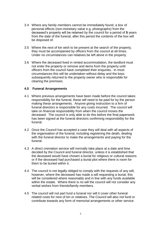- 3.4 Where any family members cannot be immediately found, a box of personal effects (non-monetary value e.g. photographs) from the deceased's property will be retained by the council for a period of **5** years from the date of the funeral, after this period the contents of the box will be disposed of.
- 3.5 Where the next of kin wish to be present at the search of the property, they must be accompanied by officers from the council at all times. Under no circumstances can relatives be left alone in the property.
- 3.6 Where the deceased lived in rented accommodation, the landlord must not enter the property or remove and items from the property until officers from the council have completed their enquiries. In most circumstances this will be undertaken without delay and the keys subsequently returned to the property owner who is responsible for clearing the premises.

### **4.0 Funeral Arrangements**

- 4.1 Where previous arrangements have been made before the council takes responsibility for the funeral, these will need to be paid for by the person making these arrangements. Anyone giving instruction to a firm of funeral directors is responsible for any costs incurred. The council will take on financial responsibility from when the council moves the deceased. The council is only able to do this before the final paperwork has been signed at the funeral directors confirming responsibility for the funeral.
- 4.2 Once the Council has accepted a case they will deal with all aspects of the organisation of the funeral, including registering the death, dealing with the funeral director to make the arrangements and paying for the funeral.
- 4.3 A direct cremation service will normally take place at a date and time decided by the Council and funeral director, unless it is established that the deceased would have chosen a burial for religious or cultural reasons or if the deceased had purchased a burial plot where there is room for them to be buried within it.
- 4.4 The council is not legally obliged to comply with the requests of any will, however, where the deceased has made a will requesting a burial, this will be considered where reasonably and in line with any funds available within the estate. Where there is no will the council will not consider any verbal wishes from friends/family members.
- 4.5 The council will not part fund a funeral nor will it cover other funeral related costs for next of kin or relatives. The Council will also not fund or contribute towards any form of memorial arrangements or other service